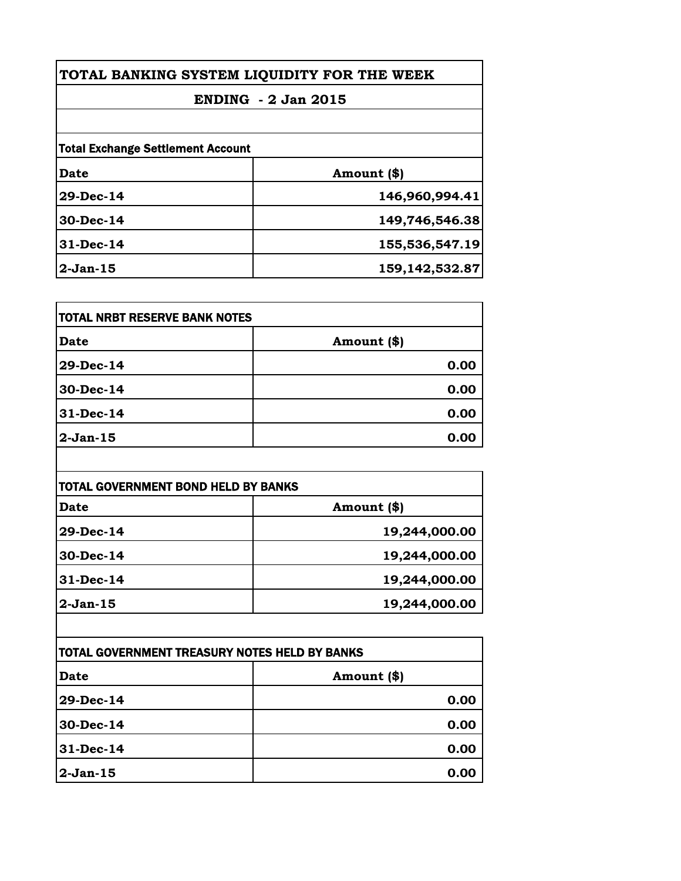| TOTAL BANKING SYSTEM LIQUIDITY FOR THE WEEK |                |
|---------------------------------------------|----------------|
| <b>ENDING - 2 Jan 2015</b>                  |                |
|                                             |                |
| <b>Total Exchange Settlement Account</b>    |                |
| Date                                        | Amount (\$)    |
| 29-Dec-14                                   | 146,960,994.41 |
| 30-Dec-14                                   | 149,746,546.38 |
| $31$ -Dec-14                                | 155,536,547.19 |
| $2-Jan-15$                                  | 159,142,532.87 |

| TOTAL NRBT RESERVE BANK NOTES |             |
|-------------------------------|-------------|
| <b>Date</b>                   | Amount (\$) |
| 29-Dec-14                     | 0.00        |
| 30-Dec-14                     | 0.00        |
| $31 - Dec-14$                 | 0.00        |
| $2-Jan-15$                    | 0.00        |

| TOTAL GOVERNMENT BOND HELD BY BANKS |               |
|-------------------------------------|---------------|
| <b>Date</b>                         | Amount (\$)   |
| 29-Dec-14                           | 19,244,000.00 |
| 30-Dec-14                           | 19,244,000.00 |
| $31$ -Dec-14                        | 19,244,000.00 |
| $2-Jan-15$                          | 19,244,000.00 |

| <b>TOTAL GOVERNMENT TREASURY NOTES HELD BY BANKS</b> |             |
|------------------------------------------------------|-------------|
| <b>Date</b>                                          | Amount (\$) |
| 29-Dec-14                                            | 0.00        |
| $30 - Dec-14$                                        | 0.00        |
| $31 - Dec-14$                                        | 0.00        |
| $2-Jan-15$                                           | 0.00        |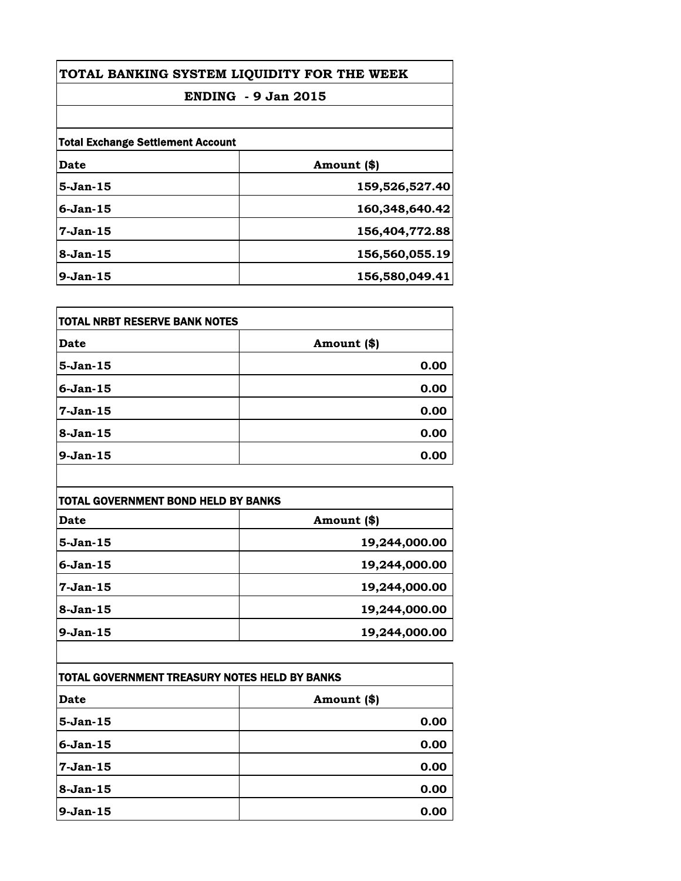| TOTAL BANKING SYSTEM LIQUIDITY FOR THE WEEK<br><b>ENDING - 9 Jan 2015</b><br><b>Total Exchange Settlement Account</b> |                |             |                |
|-----------------------------------------------------------------------------------------------------------------------|----------------|-------------|----------------|
|                                                                                                                       |                | Date        | Amount (\$)    |
|                                                                                                                       |                | $5-Jan-15$  | 159,526,527.40 |
|                                                                                                                       |                | $6$ -Jan-15 | 160,348,640.42 |
| $7-Jan-15$                                                                                                            | 156,404,772.88 |             |                |
| $8-Jan-15$                                                                                                            | 156,560,055.19 |             |                |
| $9-Jan-15$                                                                                                            | 156,580,049.41 |             |                |

| TOTAL NRBT RESERVE BANK NOTES |             |
|-------------------------------|-------------|
| <b>Date</b>                   | Amount (\$) |
| 5-Jan-15                      | 0.00        |
| 6-Jan-15                      | 0.00        |
| 7-Jan-15                      | 0.00        |
| 8-Jan-15                      | 0.00        |
| 9-Jan-15                      | 0.00        |

| TOTAL GOVERNMENT BOND HELD BY BANKS |               |
|-------------------------------------|---------------|
| Date                                | Amount (\$)   |
| $5-Jan-15$                          | 19,244,000.00 |
| $6$ -Jan-15                         | 19,244,000.00 |
| $7-Jan-15$                          | 19,244,000.00 |
| $8-Jan-15$                          | 19,244,000.00 |
| $9-Jan-15$                          | 19,244,000.00 |

| TOTAL GOVERNMENT TREASURY NOTES HELD BY BANKS |               |
|-----------------------------------------------|---------------|
| Date                                          | Amount $(\$)$ |
| $5-Jan-15$                                    | 0.00          |
| $6-Jan-15$                                    | 0.00          |
| 7-Jan-15                                      | 0.00          |
| $8-Jan-15$                                    | 0.00          |
| $9-Jan-15$                                    | 0.00          |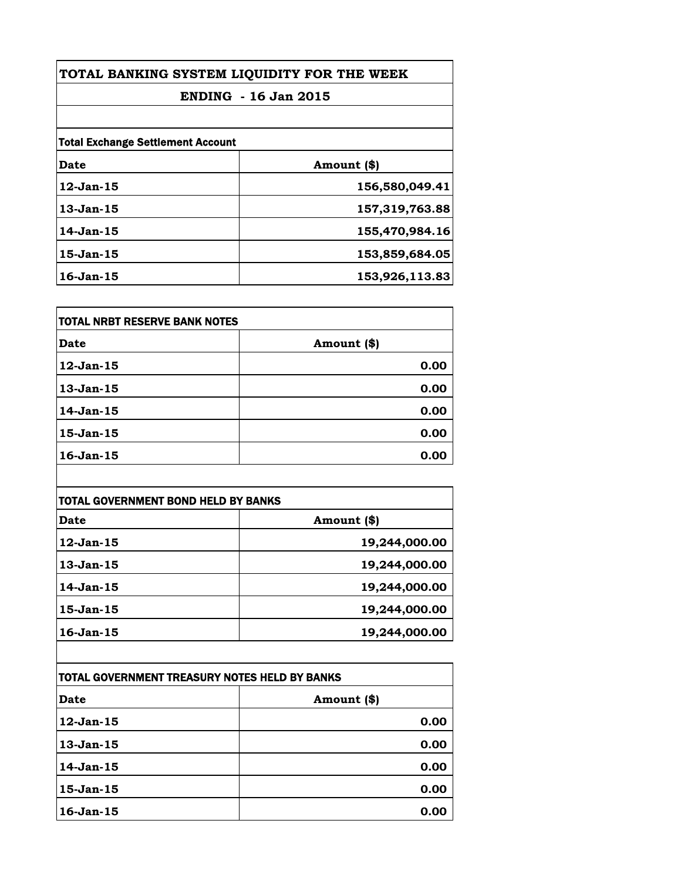| TOTAL BANKING SYSTEM LIQUIDITY FOR THE WEEK<br><b>ENDING</b> - 16 Jan 2015 |                |                                          |             |  |
|----------------------------------------------------------------------------|----------------|------------------------------------------|-------------|--|
|                                                                            |                | <b>Total Exchange Settlement Account</b> |             |  |
|                                                                            |                | Date                                     | Amount (\$) |  |
| $12$ -Jan- $15$                                                            | 156,580,049.41 |                                          |             |  |
| $13$ -Jan $-15$                                                            | 157,319,763.88 |                                          |             |  |
| 14-Jan-15                                                                  | 155,470,984.16 |                                          |             |  |
| $15$ -Jan $-15$                                                            | 153,859,684.05 |                                          |             |  |
| $16 - Jan - 15$                                                            | 153,926,113.83 |                                          |             |  |

| <b>TOTAL NRBT RESERVE BANK NOTES</b> |             |
|--------------------------------------|-------------|
| Date                                 | Amount (\$) |
| $12$ -Jan- $15$                      | 0.00        |
| 13-Jan-15                            | 0.00        |
| 14-Jan-15                            | 0.00        |
| 15-Jan-15                            | 0.00        |
| $16$ -Jan- $15$                      | 0.00        |

| TOTAL GOVERNMENT BOND HELD BY BANKS |               |
|-------------------------------------|---------------|
| Date                                | Amount (\$)   |
| $12$ -Jan- $15$                     | 19,244,000.00 |
| $13$ -Jan $-15$                     | 19,244,000.00 |
| 14-Jan-15                           | 19,244,000.00 |
| $15$ -Jan $-15$                     | 19,244,000.00 |
| $16$ -Jan $-15$                     | 19,244,000.00 |

| TOTAL GOVERNMENT TREASURY NOTES HELD BY BANKS |             |
|-----------------------------------------------|-------------|
| Date                                          | Amount (\$) |
| $12$ -Jan- $15$                               | 0.00        |
| 13-Jan-15                                     | 0.00        |
| 14-Jan-15                                     | 0.00        |
| 15-Jan-15                                     | 0.00        |
| $16$ -Jan $-15$                               | 0.00        |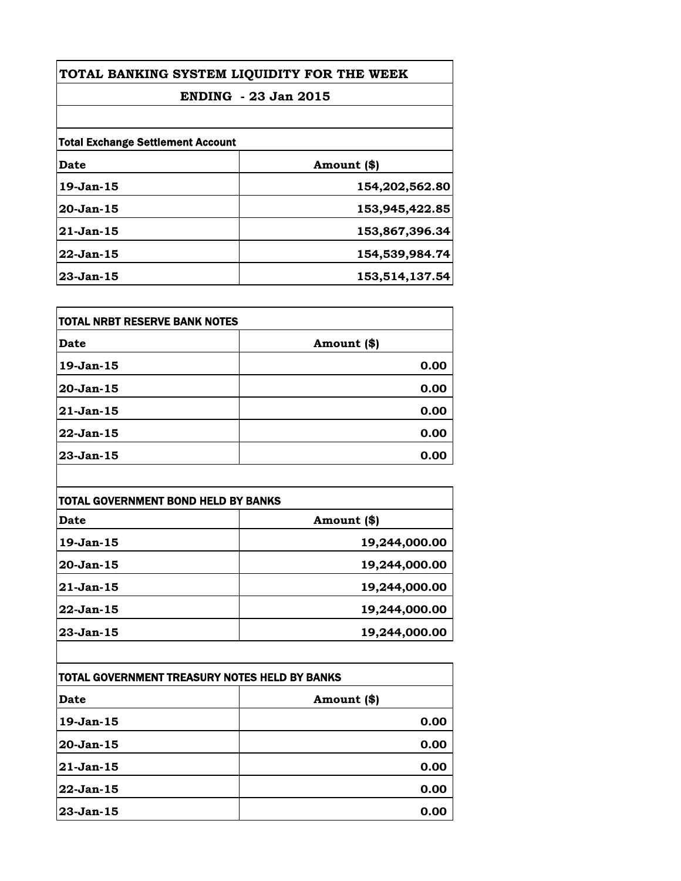| TOTAL BANKING SYSTEM LIQUIDITY FOR THE WEEK<br><b>ENDING</b> - 23 Jan 2015 |                |  |
|----------------------------------------------------------------------------|----------------|--|
|                                                                            |                |  |
| <b>Total Exchange Settlement Account</b>                                   |                |  |
| Date                                                                       | Amount (\$)    |  |
| $19-Jan-15$                                                                | 154,202,562.80 |  |
| 20-Jan-15                                                                  | 153,945,422.85 |  |
| $21 - Jan - 15$                                                            | 153,867,396.34 |  |
| $22$ -Jan-15                                                               | 154,539,984.74 |  |
| $23$ -Jan-15                                                               | 153,514,137.54 |  |

| TOTAL NRBT RESERVE BANK NOTES |             |
|-------------------------------|-------------|
| <b>Date</b>                   | Amount (\$) |
| 19-Jan-15                     | 0.00        |
| 20-Jan-15                     | 0.00        |
| 21-Jan-15                     | 0.00        |
| 22-Jan-15                     | 0.00        |
| 23-Jan-15                     | 0.00        |

| TOTAL GOVERNMENT BOND HELD BY BANKS |               |
|-------------------------------------|---------------|
| Date                                | Amount (\$)   |
| $19$ -Jan $-15$                     | 19,244,000.00 |
| $20$ -Jan-15                        | 19,244,000.00 |
| 21-Jan-15                           | 19,244,000.00 |
| $22$ -Jan-15                        | 19,244,000.00 |
| 23-Jan-15                           | 19,244,000.00 |

| TOTAL GOVERNMENT TREASURY NOTES HELD BY BANKS |               |
|-----------------------------------------------|---------------|
| <b>Date</b>                                   | Amount $(\$)$ |
| $19$ -Jan $-15$                               | 0.00          |
| 20-Jan-15                                     | 0.00          |
| 21-Jan-15                                     | 0.00          |
| $22$ -Jan-15                                  | 0.00          |
| $23$ -Jan-15                                  | 0.00          |